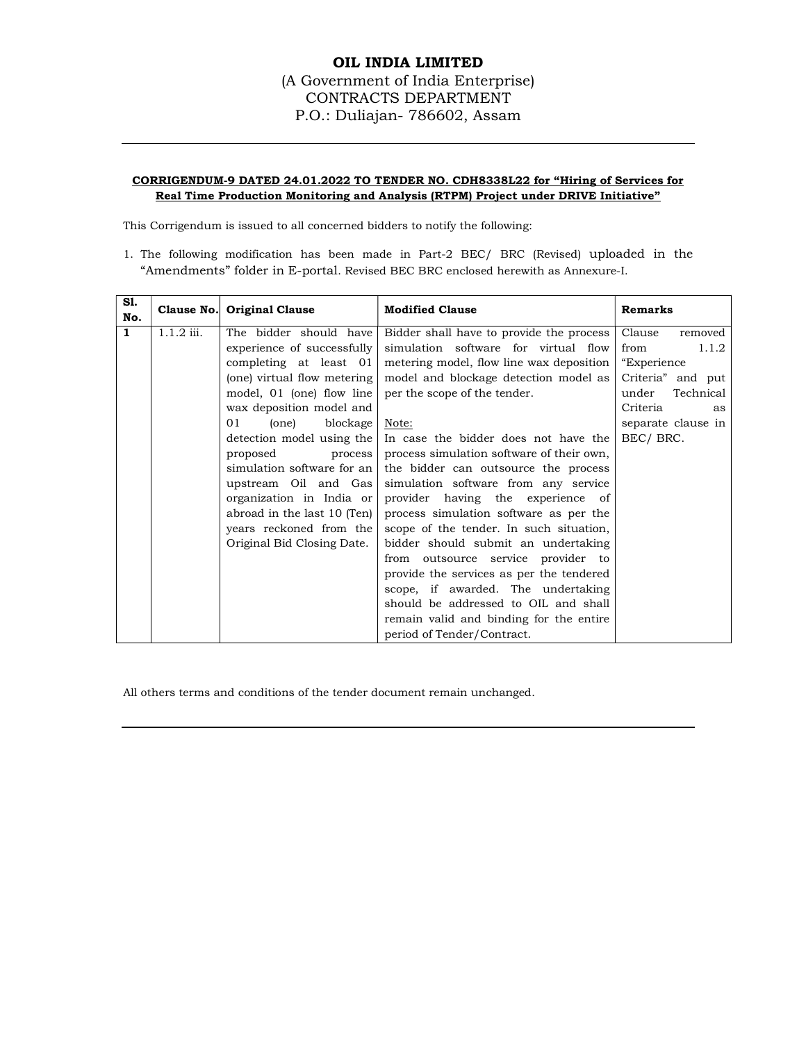### OIL INDIA LIMITED (A Government of India Enterprise) CONTRACTS DEPARTMENT P.O.: Duliajan- 786602, Assam

#### CORRIGENDUM-9 DATED 24.01.2022 TO TENDER NO. CDH8338L22 for "Hiring of Services for Real Time Production Monitoring and Analysis (RTPM) Project under DRIVE Initiative"

This Corrigendum is issued to all concerned bidders to notify the following:

1. The following modification has been made in Part-2 BEC/ BRC (Revised) uploaded in the "Amendments" folder in E-portal. Revised BEC BRC enclosed herewith as Annexure-I.

| S1.<br>No.   |              | Clause No. Original Clause  | <b>Modified Clause</b>                    | <b>Remarks</b>     |
|--------------|--------------|-----------------------------|-------------------------------------------|--------------------|
| $\mathbf{1}$ | $1.1.2$ iii. | The bidder should have      | Bidder shall have to provide the process  | Clause<br>removed  |
|              |              | experience of successfully  | simulation software for virtual flow      | 1.1.2<br>from      |
|              |              | completing at least 01      | metering model, flow line wax deposition  | "Experience"       |
|              |              | (one) virtual flow metering | model and blockage detection model as     | Criteria" and put  |
|              |              | model, 01 (one) flow line   | per the scope of the tender.              | under<br>Technical |
|              |              | wax deposition model and    |                                           | Criteria<br>as     |
|              |              | (one)<br>blockage<br>01     | Note:                                     | separate clause in |
|              |              | detection model using the   | In case the bidder does not have the      | BEC/BRC.           |
|              |              | proposed<br>process         | process simulation software of their own, |                    |
|              |              | simulation software for an  | the bidder can outsource the process      |                    |
|              |              | upstream Oil and Gas        | simulation software from any service      |                    |
|              |              | organization in India or    | provider having the experience of         |                    |
|              |              | abroad in the last 10 (Ten) | process simulation software as per the    |                    |
|              |              | years reckoned from the     | scope of the tender. In such situation,   |                    |
|              |              | Original Bid Closing Date.  | bidder should submit an undertaking       |                    |
|              |              |                             | from outsource service provider to        |                    |
|              |              |                             | provide the services as per the tendered  |                    |
|              |              |                             | scope, if awarded. The undertaking        |                    |
|              |              |                             | should be addressed to OIL and shall      |                    |
|              |              |                             | remain valid and binding for the entire   |                    |
|              |              |                             | period of Tender/Contract.                |                    |

All others terms and conditions of the tender document remain unchanged.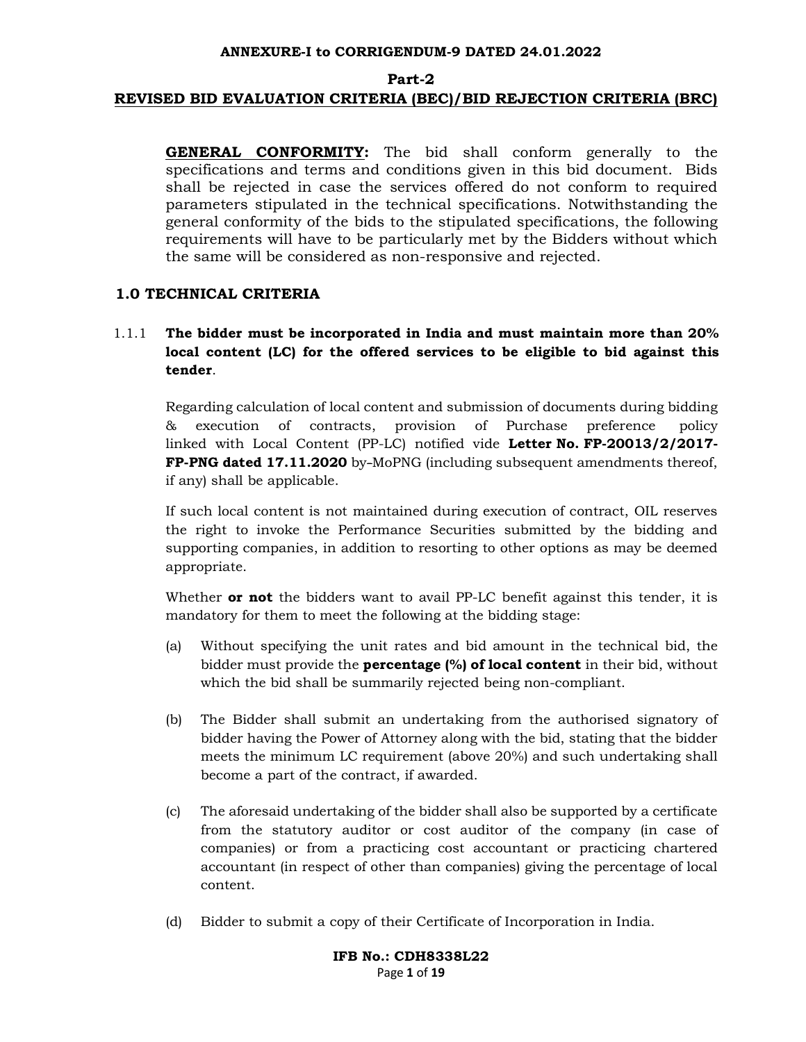## Part-2 REVISED BID EVALUATION CRITERIA (BEC)/BID REJECTION CRITERIA (BRC)

GENERAL CONFORMITY: The bid shall conform generally to the specifications and terms and conditions given in this bid document. Bids shall be rejected in case the services offered do not conform to required parameters stipulated in the technical specifications. Notwithstanding the general conformity of the bids to the stipulated specifications, the following requirements will have to be particularly met by the Bidders without which the same will be considered as non-responsive and rejected.

## 1.0 TECHNICAL CRITERIA

## 1.1.1 The bidder must be incorporated in India and must maintain more than 20% local content (LC) for the offered services to be eligible to bid against this tender.

Regarding calculation of local content and submission of documents during bidding & execution of contracts, provision of Purchase preference policy linked with Local Content (PP-LC) notified vide Letter No. FP-20013/2/2017- FP-PNG dated 17.11.2020 by-MoPNG (including subsequent amendments thereof, if any) shall be applicable.

 If such local content is not maintained during execution of contract, OIL reserves the right to invoke the Performance Securities submitted by the bidding and supporting companies, in addition to resorting to other options as may be deemed appropriate.

Whether **or not** the bidders want to avail PP-LC benefit against this tender, it is mandatory for them to meet the following at the bidding stage:

- (a) Without specifying the unit rates and bid amount in the technical bid, the bidder must provide the **percentage (%) of local content** in their bid, without which the bid shall be summarily rejected being non-compliant.
- (b) The Bidder shall submit an undertaking from the authorised signatory of bidder having the Power of Attorney along with the bid, stating that the bidder meets the minimum LC requirement (above 20%) and such undertaking shall become a part of the contract, if awarded.
- (c) The aforesaid undertaking of the bidder shall also be supported by a certificate from the statutory auditor or cost auditor of the company (in case of companies) or from a practicing cost accountant or practicing chartered accountant (in respect of other than companies) giving the percentage of local content.
- (d) Bidder to submit a copy of their Certificate of Incorporation in India.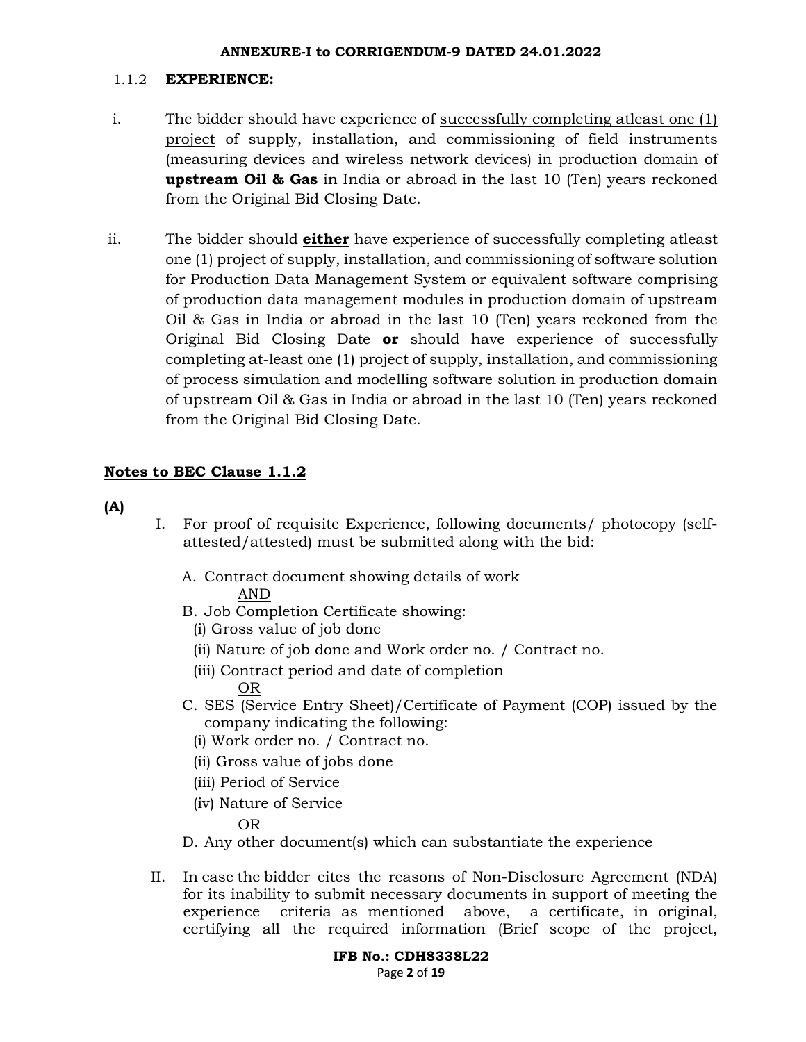#### 1.1.2 EXPERIENCE:

- i. The bidder should have experience of successfully completing atleast one (1) project of supply, installation, and commissioning of field instruments (measuring devices and wireless network devices) in production domain of **upstream Oil & Gas** in India or abroad in the last 10 (Ten) years reckoned from the Original Bid Closing Date.
- ii. The bidder should **either** have experience of successfully completing at least one (1) project of supply, installation, and commissioning of software solution for Production Data Management System or equivalent software comprising of production data management modules in production domain of upstream Oil & Gas in India or abroad in the last 10 (Ten) years reckoned from the Original Bid Closing Date or should have experience of successfully completing at-least one (1) project of supply, installation, and commissioning of process simulation and modelling software solution in production domain of upstream Oil & Gas in India or abroad in the last 10 (Ten) years reckoned from the Original Bid Closing Date.

## Notes to BEC Clause 1.1.2

(A)

- I. For proof of requisite Experience, following documents/ photocopy (selfattested/attested) must be submitted along with the bid:
	- A. Contract document showing details of work
		- AND
	- B. Job Completion Certificate showing:
		- (i) Gross value of job done
		- (ii) Nature of job done and Work order no. / Contract no.
		- (iii) Contract period and date of completion OR
	- C. SES (Service Entry Sheet)/Certificate of Payment (COP) issued by the company indicating the following:
		- (i) Work order no. / Contract no.
		- (ii) Gross value of jobs done
		- (iii) Period of Service
		- (iv) Nature of Service
			- OR
	- D. Any other document(s) which can substantiate the experience
- II. In case the bidder cites the reasons of Non-Disclosure Agreement (NDA) for its inability to submit necessary documents in support of meeting the experience criteria as mentioned above, a certificate, in original, certifying all the required information (Brief scope of the project,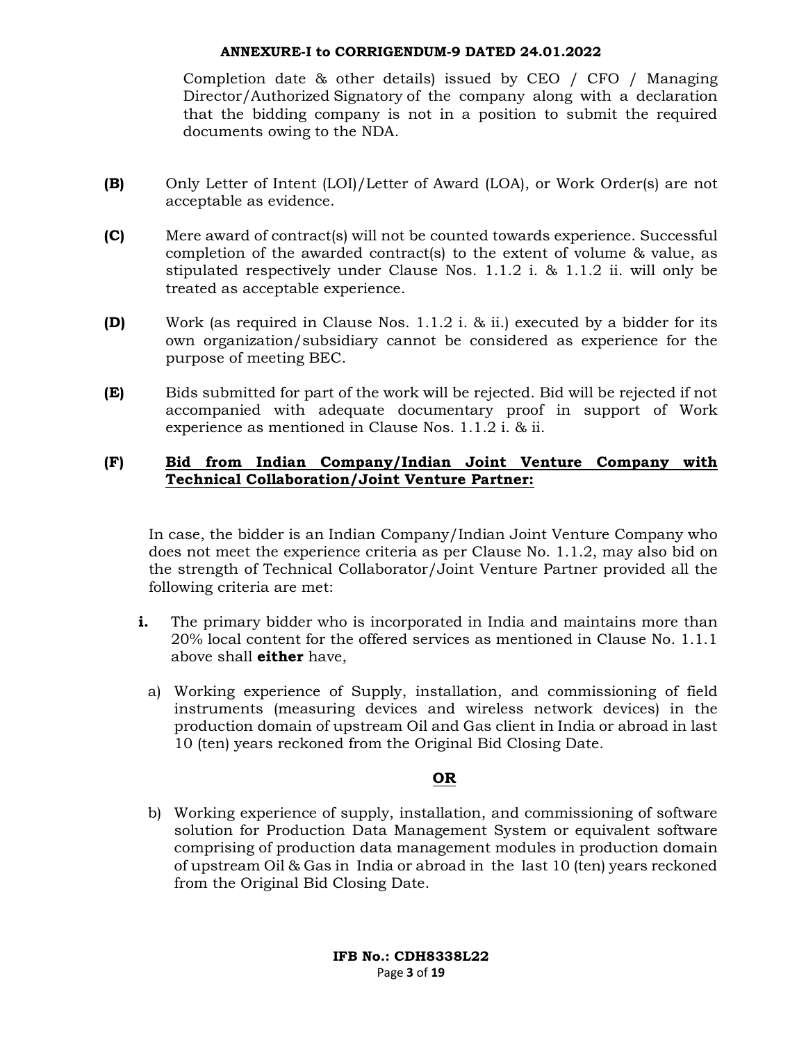Completion date & other details) issued by CEO / CFO / Managing Director/Authorized Signatory of the company along with a declaration that the bidding company is not in a position to submit the required documents owing to the NDA.

- (B) Only Letter of Intent (LOI)/Letter of Award (LOA), or Work Order(s) are not acceptable as evidence.
- (C) Mere award of contract(s) will not be counted towards experience. Successful completion of the awarded contract(s) to the extent of volume & value, as stipulated respectively under Clause Nos. 1.1.2 i. & 1.1.2 ii. will only be treated as acceptable experience.
- (D) Work (as required in Clause Nos. 1.1.2 i. & ii.) executed by a bidder for its own organization/subsidiary cannot be considered as experience for the purpose of meeting BEC.
- (E) Bids submitted for part of the work will be rejected. Bid will be rejected if not accompanied with adequate documentary proof in support of Work experience as mentioned in Clause Nos. 1.1.2 i. & ii.

### (F) Bid from Indian Company/Indian Joint Venture Company with Technical Collaboration/Joint Venture Partner:

In case, the bidder is an Indian Company/Indian Joint Venture Company who does not meet the experience criteria as per Clause No. 1.1.2, may also bid on the strength of Technical Collaborator/Joint Venture Partner provided all the following criteria are met:

- i. The primary bidder who is incorporated in India and maintains more than 20% local content for the offered services as mentioned in Clause No. 1.1.1 above shall **either** have,
	- a) Working experience of Supply, installation, and commissioning of field instruments (measuring devices and wireless network devices) in the production domain of upstream Oil and Gas client in India or abroad in last 10 (ten) years reckoned from the Original Bid Closing Date.

### OR

b) Working experience of supply, installation, and commissioning of software solution for Production Data Management System or equivalent software comprising of production data management modules in production domain of upstream Oil & Gas in India or abroad in the last 10 (ten) years reckoned from the Original Bid Closing Date.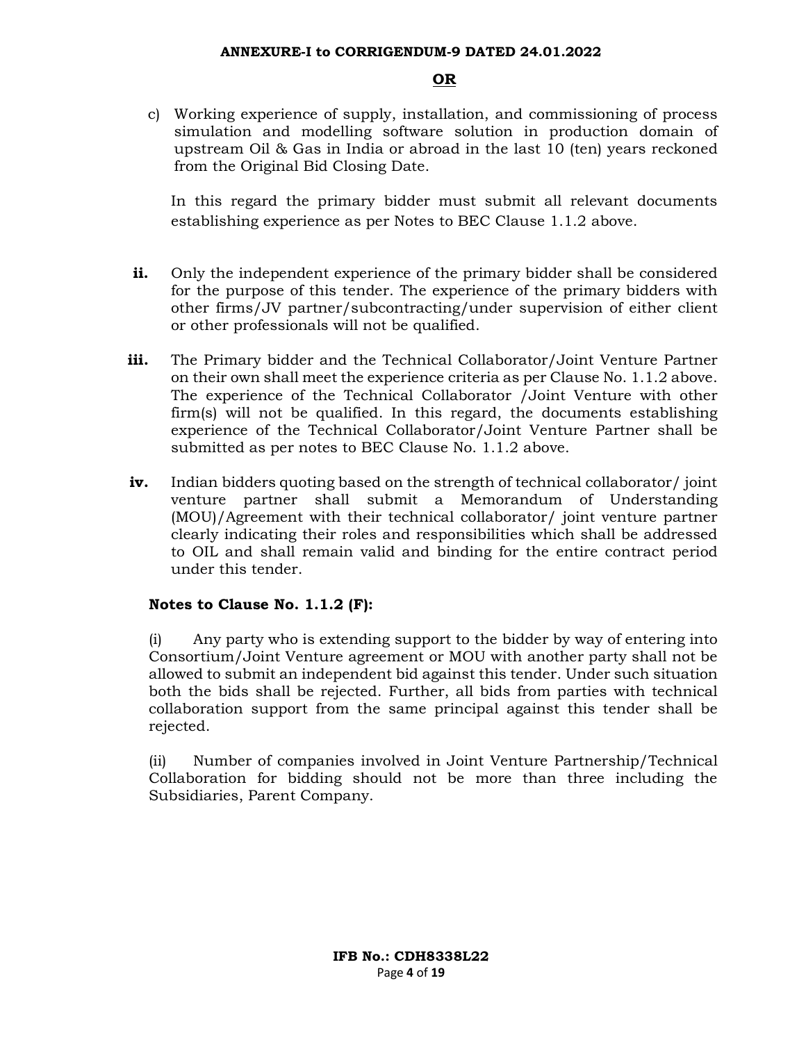#### OR

c) Working experience of supply, installation, and commissioning of process simulation and modelling software solution in production domain of upstream Oil & Gas in India or abroad in the last 10 (ten) years reckoned from the Original Bid Closing Date.

In this regard the primary bidder must submit all relevant documents establishing experience as per Notes to BEC Clause 1.1.2 above.

- i. Only the independent experience of the primary bidder shall be considered for the purpose of this tender. The experience of the primary bidders with other firms/JV partner/subcontracting/under supervision of either client or other professionals will not be qualified.
- iii. The Primary bidder and the Technical Collaborator/Joint Venture Partner on their own shall meet the experience criteria as per Clause No. 1.1.2 above. The experience of the Technical Collaborator /Joint Venture with other firm(s) will not be qualified. In this regard, the documents establishing experience of the Technical Collaborator/Joint Venture Partner shall be submitted as per notes to BEC Clause No. 1.1.2 above.
- iv. Indian bidders quoting based on the strength of technical collaborator/ joint venture partner shall submit a Memorandum of Understanding (MOU)/Agreement with their technical collaborator/ joint venture partner clearly indicating their roles and responsibilities which shall be addressed to OIL and shall remain valid and binding for the entire contract period under this tender.

### Notes to Clause No. 1.1.2 (F):

(i) Any party who is extending support to the bidder by way of entering into Consortium/Joint Venture agreement or MOU with another party shall not be allowed to submit an independent bid against this tender. Under such situation both the bids shall be rejected. Further, all bids from parties with technical collaboration support from the same principal against this tender shall be rejected.

(ii) Number of companies involved in Joint Venture Partnership/Technical Collaboration for bidding should not be more than three including the Subsidiaries, Parent Company.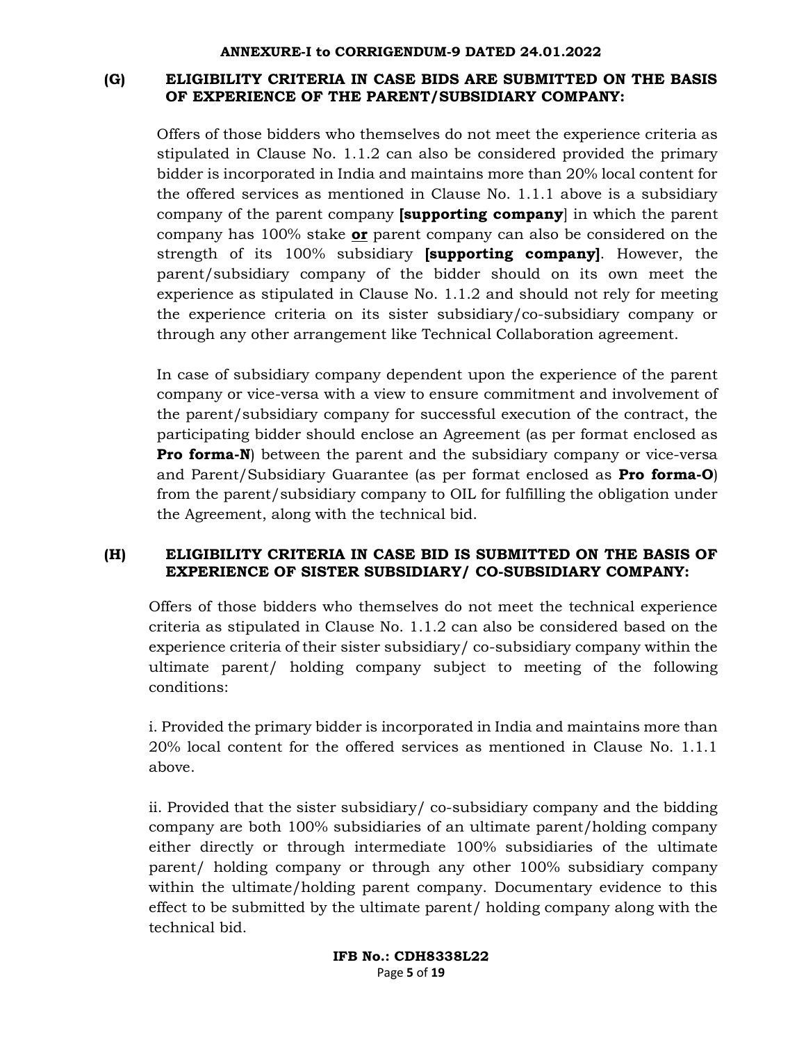## (G) ELIGIBILITY CRITERIA IN CASE BIDS ARE SUBMITTED ON THE BASIS OF EXPERIENCE OF THE PARENT/SUBSIDIARY COMPANY:

Offers of those bidders who themselves do not meet the experience criteria as stipulated in Clause No. 1.1.2 can also be considered provided the primary bidder is incorporated in India and maintains more than 20% local content for the offered services as mentioned in Clause No. 1.1.1 above is a subsidiary company of the parent company **[supporting company**] in which the parent company has 100% stake or parent company can also be considered on the strength of its  $100\%$  subsidiary **[supporting company]**. However, the parent/subsidiary company of the bidder should on its own meet the experience as stipulated in Clause No. 1.1.2 and should not rely for meeting the experience criteria on its sister subsidiary/co-subsidiary company or through any other arrangement like Technical Collaboration agreement.

In case of subsidiary company dependent upon the experience of the parent company or vice-versa with a view to ensure commitment and involvement of the parent/subsidiary company for successful execution of the contract, the participating bidder should enclose an Agreement (as per format enclosed as **Pro forma-N)** between the parent and the subsidiary company or vice-versa and Parent/Subsidiary Guarantee (as per format enclosed as Pro forma-O) from the parent/subsidiary company to OIL for fulfilling the obligation under the Agreement, along with the technical bid.

## (H) ELIGIBILITY CRITERIA IN CASE BID IS SUBMITTED ON THE BASIS OF EXPERIENCE OF SISTER SUBSIDIARY/ CO-SUBSIDIARY COMPANY:

Offers of those bidders who themselves do not meet the technical experience criteria as stipulated in Clause No. 1.1.2 can also be considered based on the experience criteria of their sister subsidiary/ co-subsidiary company within the ultimate parent/ holding company subject to meeting of the following conditions:

i. Provided the primary bidder is incorporated in India and maintains more than 20% local content for the offered services as mentioned in Clause No. 1.1.1 above.

ii. Provided that the sister subsidiary/ co-subsidiary company and the bidding company are both 100% subsidiaries of an ultimate parent/holding company either directly or through intermediate 100% subsidiaries of the ultimate parent/ holding company or through any other 100% subsidiary company within the ultimate/holding parent company. Documentary evidence to this effect to be submitted by the ultimate parent/ holding company along with the technical bid.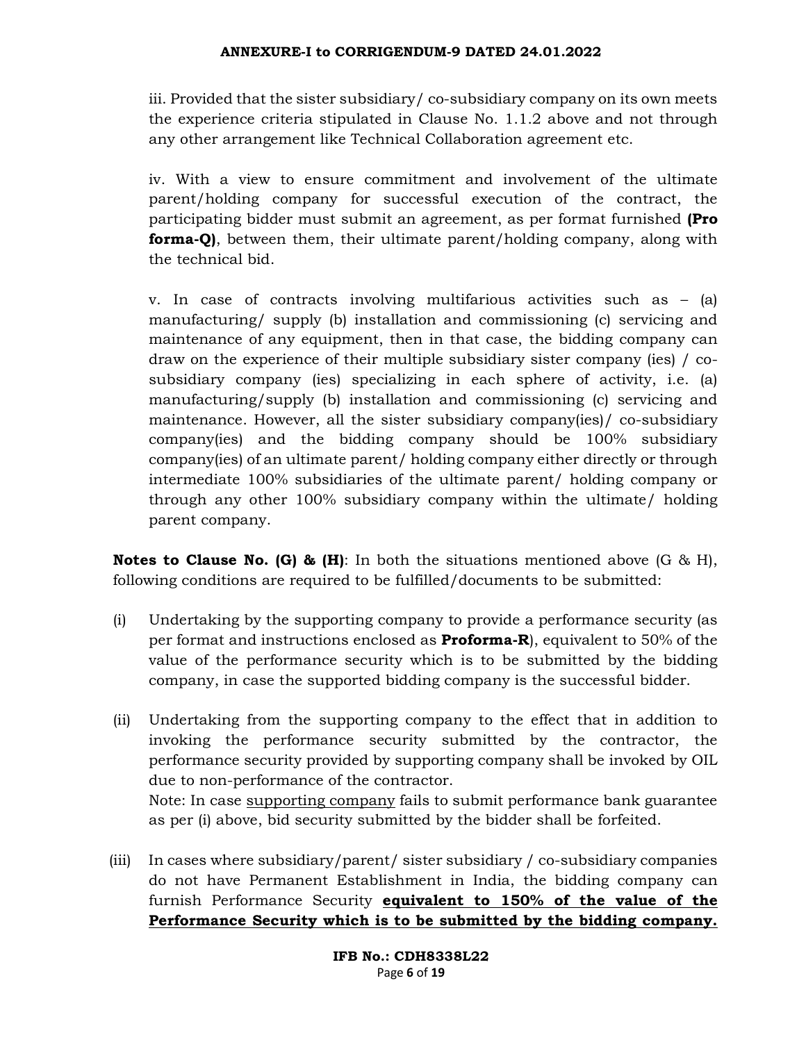iii. Provided that the sister subsidiary/ co-subsidiary company on its own meets the experience criteria stipulated in Clause No. 1.1.2 above and not through any other arrangement like Technical Collaboration agreement etc.

iv. With a view to ensure commitment and involvement of the ultimate parent/holding company for successful execution of the contract, the participating bidder must submit an agreement, as per format furnished (Pro forma-Q), between them, their ultimate parent/holding company, along with the technical bid.

v. In case of contracts involving multifarious activities such as – (a) manufacturing/ supply (b) installation and commissioning (c) servicing and maintenance of any equipment, then in that case, the bidding company can draw on the experience of their multiple subsidiary sister company (ies) / cosubsidiary company (ies) specializing in each sphere of activity, i.e. (a) manufacturing/supply (b) installation and commissioning (c) servicing and maintenance. However, all the sister subsidiary company(ies)/ co-subsidiary company(ies) and the bidding company should be 100% subsidiary company(ies) of an ultimate parent/ holding company either directly or through intermediate 100% subsidiaries of the ultimate parent/ holding company or through any other 100% subsidiary company within the ultimate/ holding parent company.

**Notes to Clause No. (G) & (H)**: In both the situations mentioned above (G & H), following conditions are required to be fulfilled/documents to be submitted:

- (i) Undertaking by the supporting company to provide a performance security (as per format and instructions enclosed as **Proforma-R**), equivalent to 50% of the value of the performance security which is to be submitted by the bidding company, in case the supported bidding company is the successful bidder.
- (ii) Undertaking from the supporting company to the effect that in addition to invoking the performance security submitted by the contractor, the performance security provided by supporting company shall be invoked by OIL due to non-performance of the contractor. Note: In case supporting company fails to submit performance bank guarantee as per (i) above, bid security submitted by the bidder shall be forfeited.
- (iii) In cases where subsidiary/parent/ sister subsidiary / co-subsidiary companies do not have Permanent Establishment in India, the bidding company can furnish Performance Security equivalent to 150% of the value of the Performance Security which is to be submitted by the bidding company.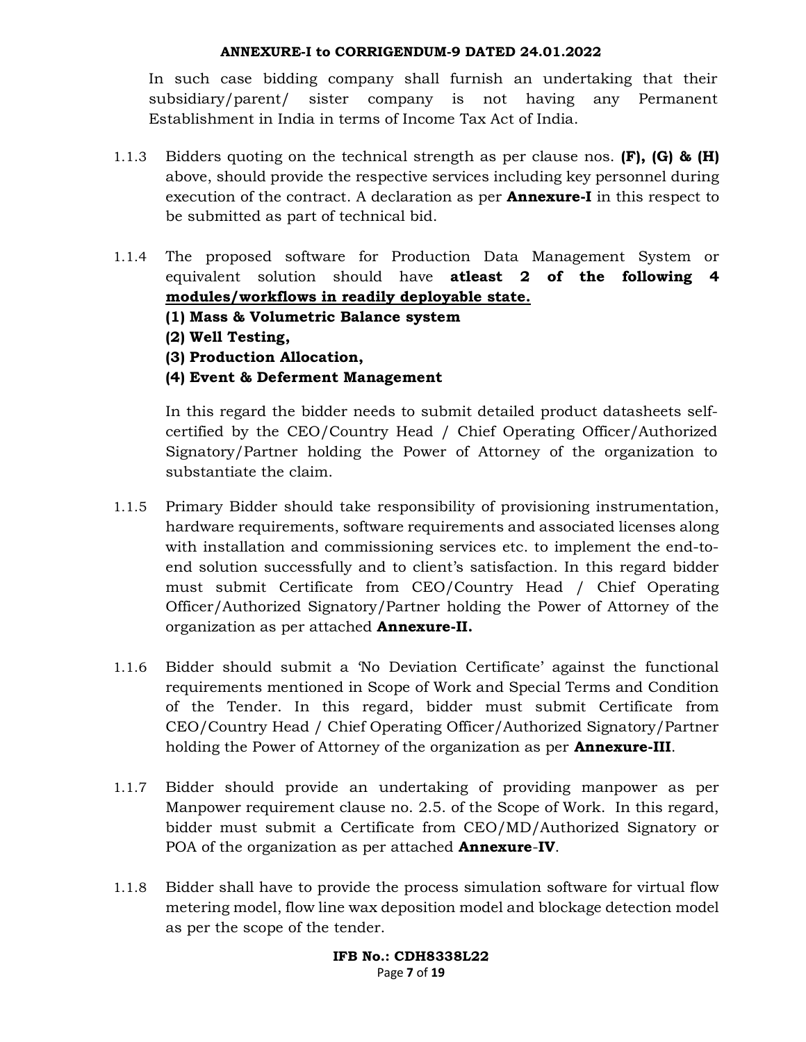In such case bidding company shall furnish an undertaking that their subsidiary/parent/ sister company is not having any Permanent Establishment in India in terms of Income Tax Act of India.

- 1.1.3 Bidders quoting on the technical strength as per clause nos. (F), (G) &  $(H)$ above, should provide the respective services including key personnel during execution of the contract. A declaration as per **Annexure-I** in this respect to be submitted as part of technical bid.
- 1.1.4 The proposed software for Production Data Management System or equivalent solution should have atleast 2 of the following 4 modules/workflows in readily deployable state.
	- (1) Mass & Volumetric Balance system
	- (2) Well Testing,
	- (3) Production Allocation,
	- (4) Event & Deferment Management

In this regard the bidder needs to submit detailed product datasheets selfcertified by the CEO/Country Head / Chief Operating Officer/Authorized Signatory/Partner holding the Power of Attorney of the organization to substantiate the claim.

- 1.1.5 Primary Bidder should take responsibility of provisioning instrumentation, hardware requirements, software requirements and associated licenses along with installation and commissioning services etc. to implement the end-toend solution successfully and to client's satisfaction. In this regard bidder must submit Certificate from CEO/Country Head / Chief Operating Officer/Authorized Signatory/Partner holding the Power of Attorney of the organization as per attached Annexure-II.
- 1.1.6 Bidder should submit a 'No Deviation Certificate' against the functional requirements mentioned in Scope of Work and Special Terms and Condition of the Tender. In this regard, bidder must submit Certificate from CEO/Country Head / Chief Operating Officer/Authorized Signatory/Partner holding the Power of Attorney of the organization as per **Annexure-III**.
- 1.1.7 Bidder should provide an undertaking of providing manpower as per Manpower requirement clause no. 2.5. of the Scope of Work. In this regard, bidder must submit a Certificate from CEO/MD/Authorized Signatory or POA of the organization as per attached **Annexure-IV**.
- 1.1.8 Bidder shall have to provide the process simulation software for virtual flow metering model, flow line wax deposition model and blockage detection model as per the scope of the tender.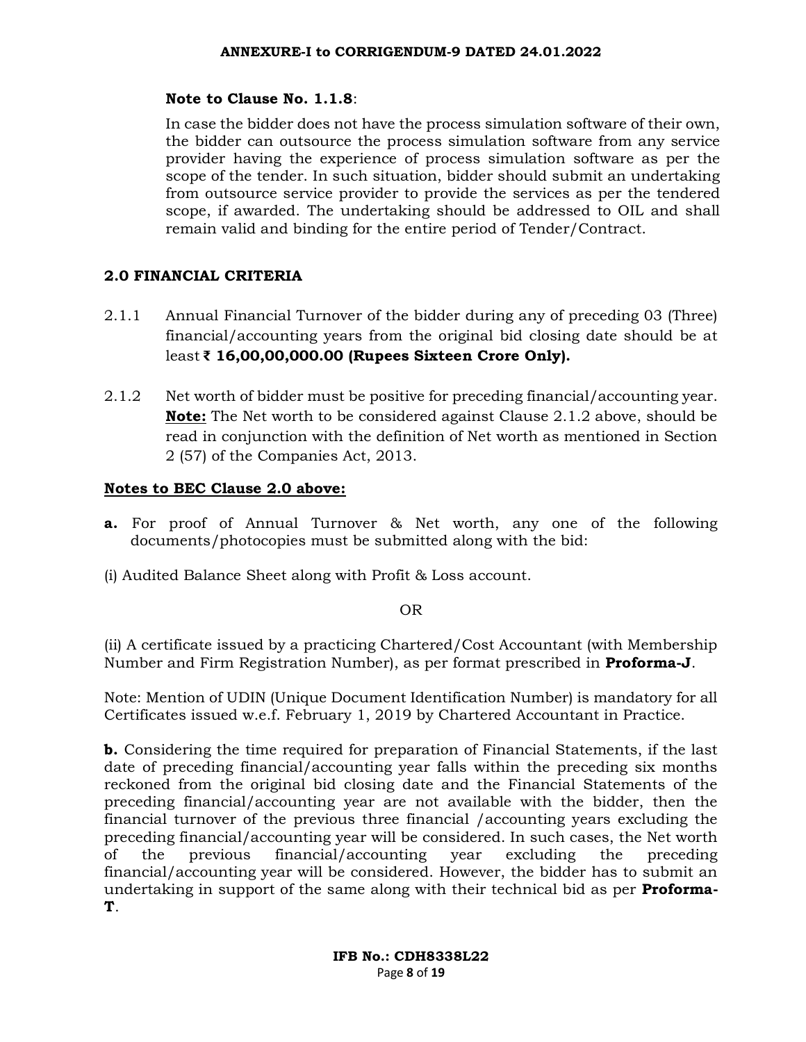## Note to Clause No. 1.1.8:

In case the bidder does not have the process simulation software of their own, the bidder can outsource the process simulation software from any service provider having the experience of process simulation software as per the scope of the tender. In such situation, bidder should submit an undertaking from outsource service provider to provide the services as per the tendered scope, if awarded. The undertaking should be addressed to OIL and shall remain valid and binding for the entire period of Tender/Contract.

## 2.0 FINANCIAL CRITERIA

- 2.1.1 Annual Financial Turnover of the bidder during any of preceding 03 (Three) financial/accounting years from the original bid closing date should be at least ₹ 16,00,00,000.00 (Rupees Sixteen Crore Only).
- 2.1.2 Net worth of bidder must be positive for preceding financial/accounting year. Note: The Net worth to be considered against Clause 2.1.2 above, should be read in conjunction with the definition of Net worth as mentioned in Section 2 (57) of the Companies Act, 2013.

## Notes to BEC Clause 2.0 above:

- a. For proof of Annual Turnover & Net worth, any one of the following documents/photocopies must be submitted along with the bid:
- (i) Audited Balance Sheet along with Profit & Loss account.

### OR

(ii) A certificate issued by a practicing Chartered/Cost Accountant (with Membership Number and Firm Registration Number), as per format prescribed in **Proforma-J**.

Note: Mention of UDIN (Unique Document Identification Number) is mandatory for all Certificates issued w.e.f. February 1, 2019 by Chartered Accountant in Practice.

b. Considering the time required for preparation of Financial Statements, if the last date of preceding financial/accounting year falls within the preceding six months reckoned from the original bid closing date and the Financial Statements of the preceding financial/accounting year are not available with the bidder, then the financial turnover of the previous three financial /accounting years excluding the preceding financial/accounting year will be considered. In such cases, the Net worth of the previous financial/accounting year excluding the preceding financial/accounting year will be considered. However, the bidder has to submit an undertaking in support of the same along with their technical bid as per **Proforma**-T.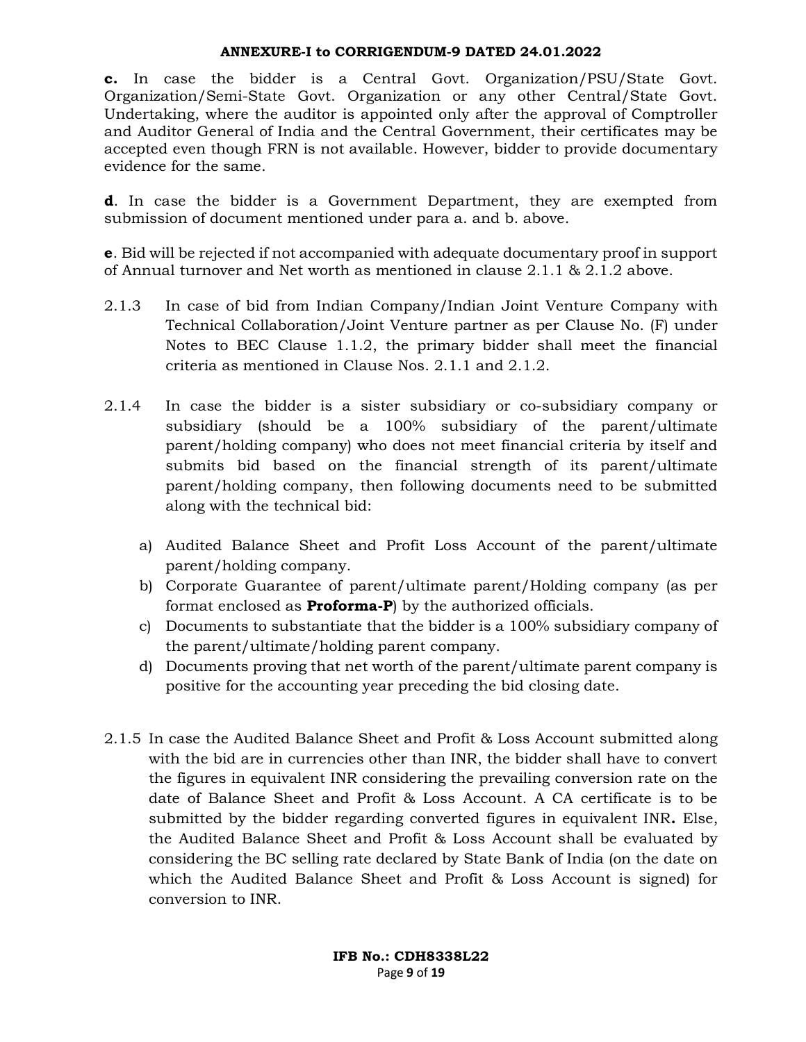c. In case the bidder is a Central Govt. Organization/PSU/State Govt. Organization/Semi-State Govt. Organization or any other Central/State Govt. Undertaking, where the auditor is appointed only after the approval of Comptroller and Auditor General of India and the Central Government, their certificates may be accepted even though FRN is not available. However, bidder to provide documentary evidence for the same.

d. In case the bidder is a Government Department, they are exempted from submission of document mentioned under para a. and b. above.

e. Bid will be rejected if not accompanied with adequate documentary proof in support of Annual turnover and Net worth as mentioned in clause 2.1.1 & 2.1.2 above.

- 2.1.3 In case of bid from Indian Company/Indian Joint Venture Company with Technical Collaboration/Joint Venture partner as per Clause No. (F) under Notes to BEC Clause 1.1.2, the primary bidder shall meet the financial criteria as mentioned in Clause Nos. 2.1.1 and 2.1.2.
- 2.1.4 In case the bidder is a sister subsidiary or co-subsidiary company or subsidiary (should be a 100% subsidiary of the parent/ultimate parent/holding company) who does not meet financial criteria by itself and submits bid based on the financial strength of its parent/ultimate parent/holding company, then following documents need to be submitted along with the technical bid:
	- a) Audited Balance Sheet and Profit Loss Account of the parent/ultimate parent/holding company.
	- b) Corporate Guarantee of parent/ultimate parent/Holding company (as per format enclosed as **Proforma-P**) by the authorized officials.
	- c) Documents to substantiate that the bidder is a 100% subsidiary company of the parent/ultimate/holding parent company.
	- d) Documents proving that net worth of the parent/ultimate parent company is positive for the accounting year preceding the bid closing date.
- 2.1.5 In case the Audited Balance Sheet and Profit & Loss Account submitted along with the bid are in currencies other than INR, the bidder shall have to convert the figures in equivalent INR considering the prevailing conversion rate on the date of Balance Sheet and Profit & Loss Account. A CA certificate is to be submitted by the bidder regarding converted figures in equivalent INR. Else, the Audited Balance Sheet and Profit & Loss Account shall be evaluated by considering the BC selling rate declared by State Bank of India (on the date on which the Audited Balance Sheet and Profit & Loss Account is signed) for conversion to INR.

IFB No.: CDH8338L22 Page 9 of 19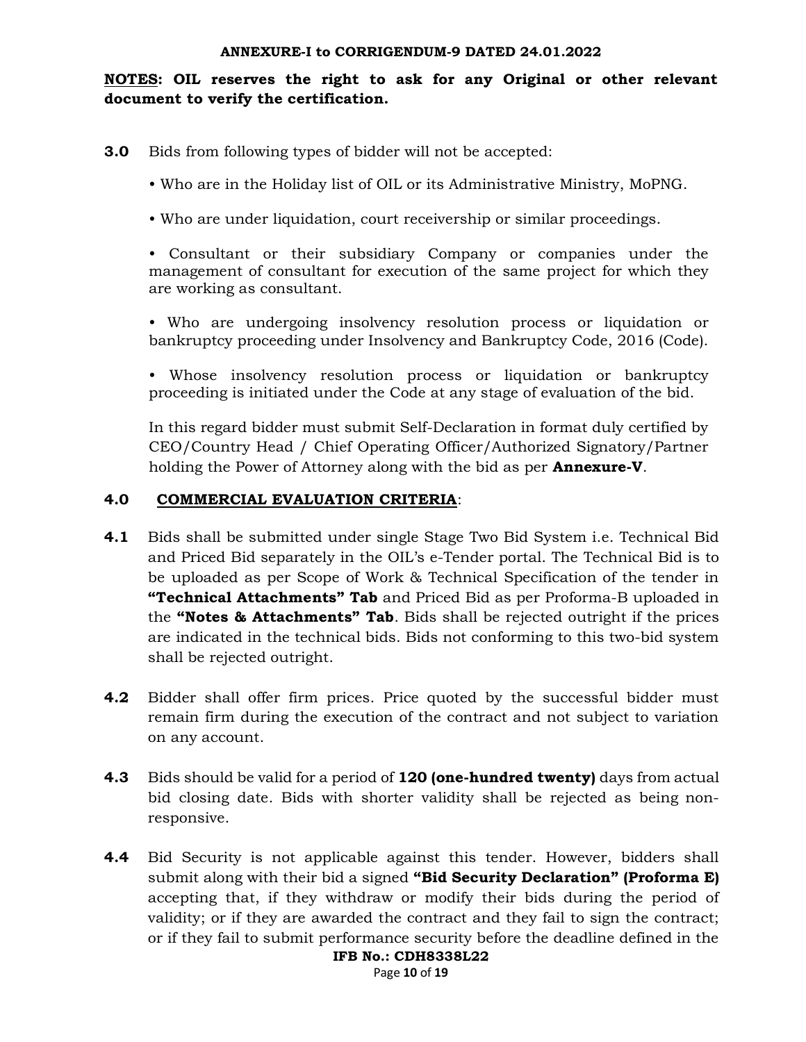NOTES: OIL reserves the right to ask for any Original or other relevant document to verify the certification.

- 3.0 Bids from following types of bidder will not be accepted:
	- Who are in the Holiday list of OIL or its Administrative Ministry, MoPNG.
	- Who are under liquidation, court receivership or similar proceedings.

• Consultant or their subsidiary Company or companies under the management of consultant for execution of the same project for which they are working as consultant.

- Who are undergoing insolvency resolution process or liquidation or bankruptcy proceeding under Insolvency and Bankruptcy Code, 2016 (Code).
- Whose insolvency resolution process or liquidation or bankruptcy proceeding is initiated under the Code at any stage of evaluation of the bid.

In this regard bidder must submit Self-Declaration in format duly certified by CEO/Country Head / Chief Operating Officer/Authorized Signatory/Partner holding the Power of Attorney along with the bid as per **Annexure-V**.

## 4.0 COMMERCIAL EVALUATION CRITERIA:

- 4.1 Bids shall be submitted under single Stage Two Bid System i.e. Technical Bid and Priced Bid separately in the OIL's e-Tender portal. The Technical Bid is to be uploaded as per Scope of Work & Technical Specification of the tender in **"Technical Attachments" Tab** and Priced Bid as per Proforma-B uploaded in the "Notes & Attachments" Tab. Bids shall be rejected outright if the prices are indicated in the technical bids. Bids not conforming to this two-bid system shall be rejected outright.
- **4.2** Bidder shall offer firm prices. Price quoted by the successful bidder must remain firm during the execution of the contract and not subject to variation on any account.
- 4.3 Bids should be valid for a period of 120 (one-hundred twenty) days from actual bid closing date. Bids with shorter validity shall be rejected as being nonresponsive.
- IFB No.: CDH8338L22 **4.4** Bid Security is not applicable against this tender. However, bidders shall submit along with their bid a signed "Bid Security Declaration" (Proforma E) accepting that, if they withdraw or modify their bids during the period of validity; or if they are awarded the contract and they fail to sign the contract; or if they fail to submit performance security before the deadline defined in the

Page 10 of 19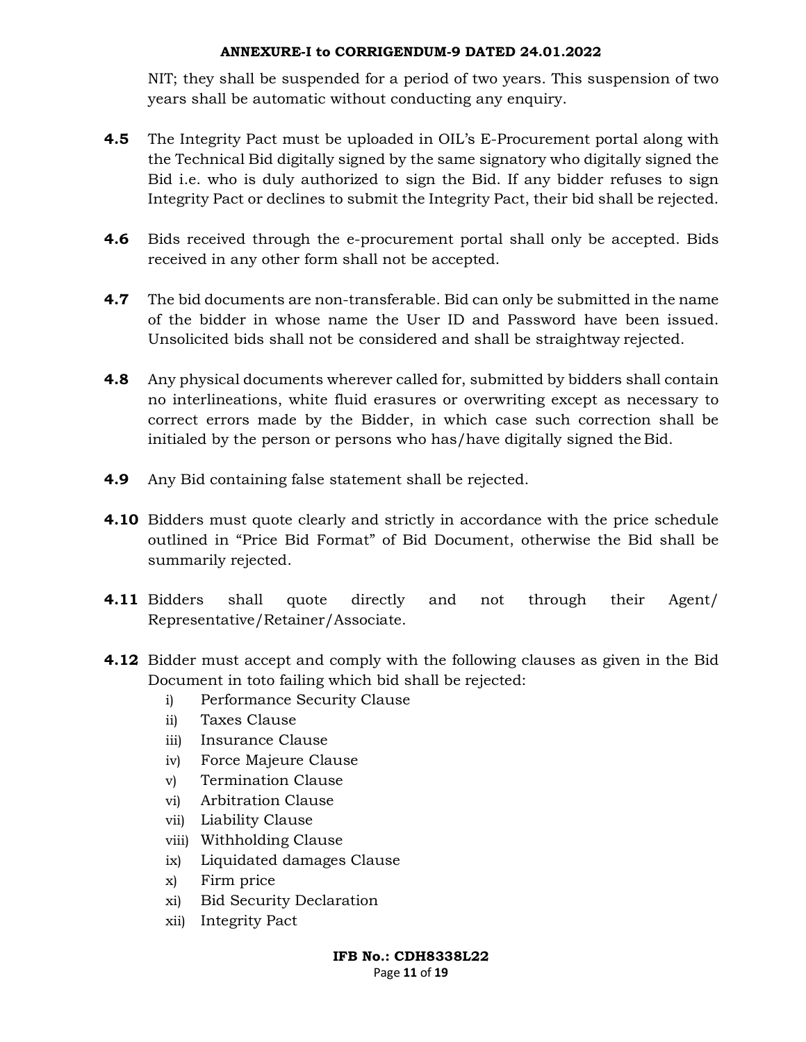NIT; they shall be suspended for a period of two years. This suspension of two years shall be automatic without conducting any enquiry.

- **4.5** The Integrity Pact must be uploaded in OIL's E-Procurement portal along with the Technical Bid digitally signed by the same signatory who digitally signed the Bid i.e. who is duly authorized to sign the Bid. If any bidder refuses to sign Integrity Pact or declines to submit the Integrity Pact, their bid shall be rejected.
- **4.6** Bids received through the e-procurement portal shall only be accepted. Bids received in any other form shall not be accepted.
- **4.7** The bid documents are non-transferable. Bid can only be submitted in the name of the bidder in whose name the User ID and Password have been issued. Unsolicited bids shall not be considered and shall be straightway rejected.
- **4.8** Any physical documents wherever called for, submitted by bidders shall contain no interlineations, white fluid erasures or overwriting except as necessary to correct errors made by the Bidder, in which case such correction shall be initialed by the person or persons who has/have digitally signed the Bid.
- 4.9 Any Bid containing false statement shall be rejected.
- 4.10 Bidders must quote clearly and strictly in accordance with the price schedule outlined in "Price Bid Format" of Bid Document, otherwise the Bid shall be summarily rejected.
- 4.11 Bidders shall quote directly and not through their Agent/ Representative/Retainer/Associate.
- 4.12 Bidder must accept and comply with the following clauses as given in the Bid Document in toto failing which bid shall be rejected:
	- i) Performance Security Clause
	- ii) Taxes Clause
	- iii) Insurance Clause
	- iv) Force Majeure Clause
	- v) Termination Clause
	- vi) Arbitration Clause
	- vii) Liability Clause
	- viii) Withholding Clause
	- ix) Liquidated damages Clause
	- x) Firm price
	- xi) Bid Security Declaration
	- xii) Integrity Pact

IFB No.: CDH8338L22 Page 11 of 19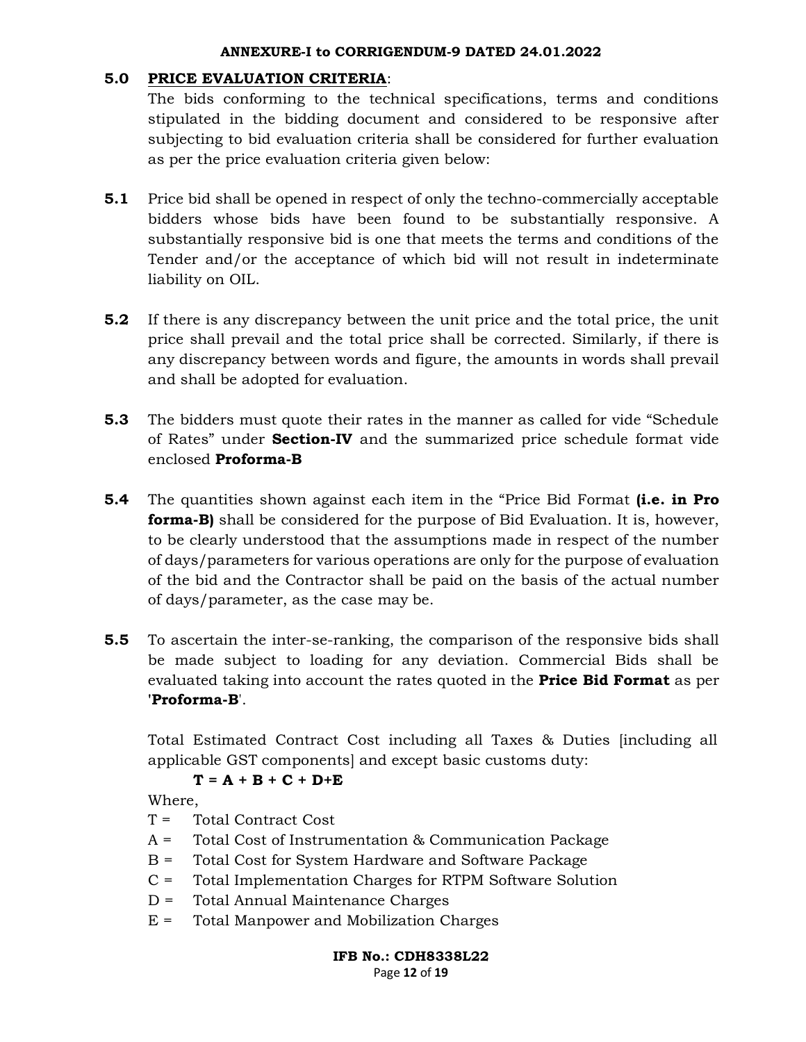## 5.0 PRICE EVALUATION CRITERIA:

The bids conforming to the technical specifications, terms and conditions stipulated in the bidding document and considered to be responsive after subjecting to bid evaluation criteria shall be considered for further evaluation as per the price evaluation criteria given below:

- 5.1 Price bid shall be opened in respect of only the techno-commercially acceptable bidders whose bids have been found to be substantially responsive. A substantially responsive bid is one that meets the terms and conditions of the Tender and/or the acceptance of which bid will not result in indeterminate liability on OIL.
- 5.2 If there is any discrepancy between the unit price and the total price, the unit price shall prevail and the total price shall be corrected. Similarly, if there is any discrepancy between words and figure, the amounts in words shall prevail and shall be adopted for evaluation.
- **5.3** The bidders must quote their rates in the manner as called for vide "Schedule" of Rates" under Section-IV and the summarized price schedule format vide enclosed Proforma-B
- **5.4** The quantities shown against each item in the "Price Bid Format (i.e. in Pro **forma-B)** shall be considered for the purpose of Bid Evaluation. It is, however, to be clearly understood that the assumptions made in respect of the number of days/parameters for various operations are only for the purpose of evaluation of the bid and the Contractor shall be paid on the basis of the actual number of days/parameter, as the case may be.
- 5.5 To ascertain the inter-se-ranking, the comparison of the responsive bids shall be made subject to loading for any deviation. Commercial Bids shall be evaluated taking into account the rates quoted in the **Price Bid Format** as per 'Proforma-B'.

Total Estimated Contract Cost including all Taxes & Duties [including all applicable GST components] and except basic customs duty:

# $T = A + B + C + D+E$

Where,

- $T =$  Total Contract Cost
- A = Total Cost of Instrumentation & Communication Package
- B = Total Cost for System Hardware and Software Package
- C = Total Implementation Charges for RTPM Software Solution
- D = Total Annual Maintenance Charges
- $E =$  Total Manpower and Mobilization Charges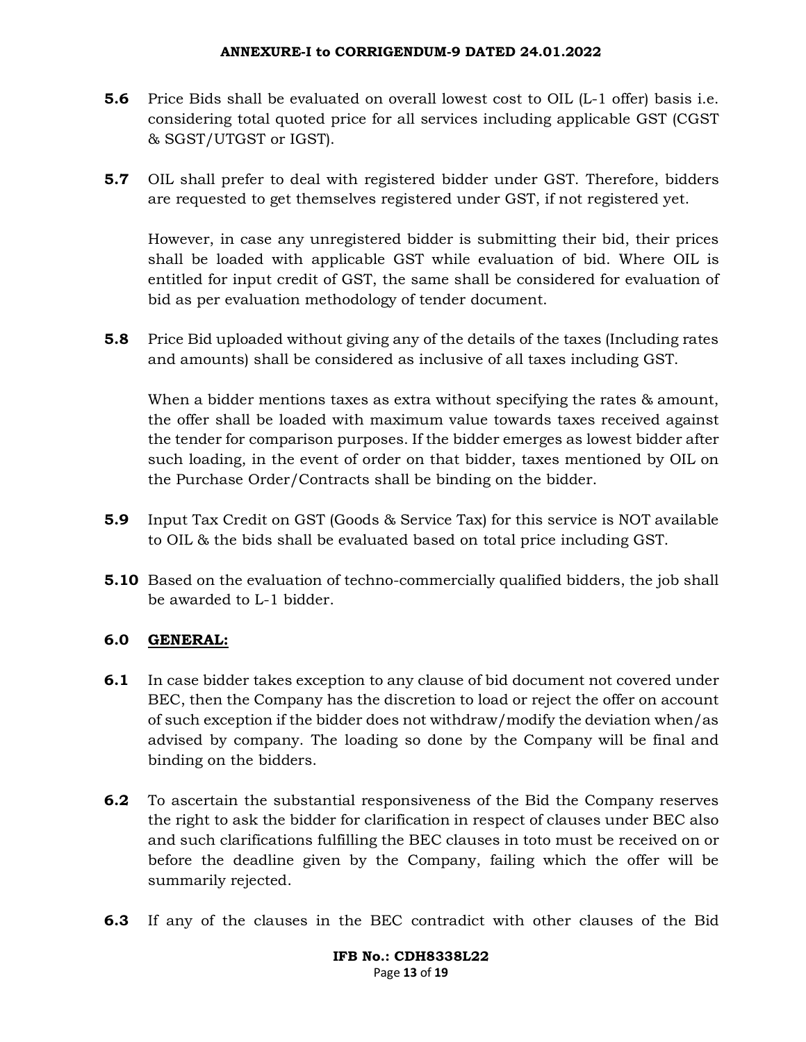- **5.6** Price Bids shall be evaluated on overall lowest cost to OIL (L-1 offer) basis i.e. considering total quoted price for all services including applicable GST (CGST & SGST/UTGST or IGST).
- **5.7** OIL shall prefer to deal with registered bidder under GST. Therefore, bidders are requested to get themselves registered under GST, if not registered yet.

However, in case any unregistered bidder is submitting their bid, their prices shall be loaded with applicable GST while evaluation of bid. Where OIL is entitled for input credit of GST, the same shall be considered for evaluation of bid as per evaluation methodology of tender document.

5.8 Price Bid uploaded without giving any of the details of the taxes (Including rates and amounts) shall be considered as inclusive of all taxes including GST.

When a bidder mentions taxes as extra without specifying the rates & amount, the offer shall be loaded with maximum value towards taxes received against the tender for comparison purposes. If the bidder emerges as lowest bidder after such loading, in the event of order on that bidder, taxes mentioned by OIL on the Purchase Order/Contracts shall be binding on the bidder.

- 5.9 Input Tax Credit on GST (Goods & Service Tax) for this service is NOT available to OIL & the bids shall be evaluated based on total price including GST.
- 5.10 Based on the evaluation of techno-commercially qualified bidders, the job shall be awarded to L-1 bidder.

## 6.0 GENERAL:

- **6.1** In case bidder takes exception to any clause of bid document not covered under BEC, then the Company has the discretion to load or reject the offer on account of such exception if the bidder does not withdraw/modify the deviation when/as advised by company. The loading so done by the Company will be final and binding on the bidders.
- **6.2** To ascertain the substantial responsiveness of the Bid the Company reserves the right to ask the bidder for clarification in respect of clauses under BEC also and such clarifications fulfilling the BEC clauses in toto must be received on or before the deadline given by the Company, failing which the offer will be summarily rejected.
- 6.3 If any of the clauses in the BEC contradict with other clauses of the Bid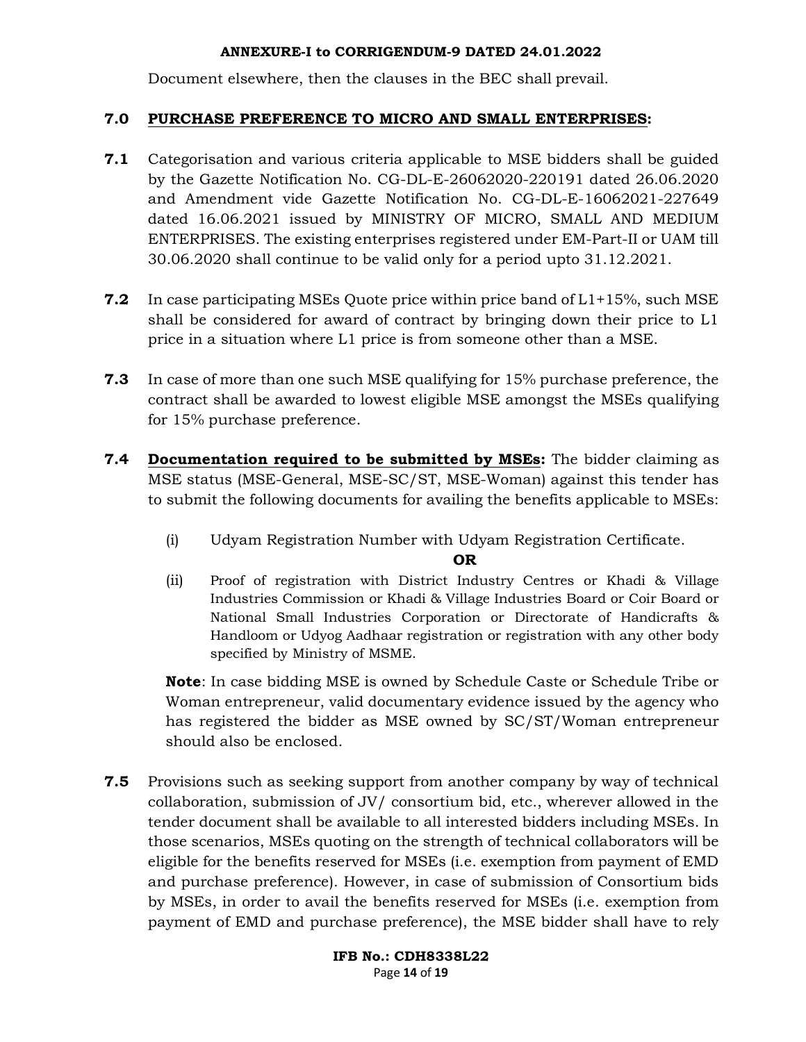Document elsewhere, then the clauses in the BEC shall prevail.

## 7.0 PURCHASE PREFERENCE TO MICRO AND SMALL ENTERPRISES:

- 7.1 Categorisation and various criteria applicable to MSE bidders shall be guided by the Gazette Notification No. CG-DL-E-26062020-220191 dated 26.06.2020 and Amendment vide Gazette Notification No. CG-DL-E-16062021-227649 dated 16.06.2021 issued by MINISTRY OF MICRO, SMALL AND MEDIUM ENTERPRISES. The existing enterprises registered under EM-Part-II or UAM till 30.06.2020 shall continue to be valid only for a period upto 31.12.2021.
- **7.2** In case participating MSEs Quote price within price band of  $L1+15%$ , such MSE shall be considered for award of contract by bringing down their price to L1 price in a situation where L1 price is from someone other than a MSE.
- **7.3** In case of more than one such MSE qualifying for 15% purchase preference, the contract shall be awarded to lowest eligible MSE amongst the MSEs qualifying for 15% purchase preference.
- 7.4 Documentation required to be submitted by MSEs: The bidder claiming as MSE status (MSE-General, MSE-SC/ST, MSE-Woman) against this tender has to submit the following documents for availing the benefits applicable to MSEs:
	- (i) Udyam Registration Number with Udyam Registration Certificate.

OR

(ii) Proof of registration with District Industry Centres or Khadi & Village Industries Commission or Khadi & Village Industries Board or Coir Board or National Small Industries Corporation or Directorate of Handicrafts & Handloom or Udyog Aadhaar registration or registration with any other body specified by Ministry of MSME.

Note: In case bidding MSE is owned by Schedule Caste or Schedule Tribe or Woman entrepreneur, valid documentary evidence issued by the agency who has registered the bidder as MSE owned by SC/ST/Woman entrepreneur should also be enclosed.

**7.5** Provisions such as seeking support from another company by way of technical collaboration, submission of JV/ consortium bid, etc., wherever allowed in the tender document shall be available to all interested bidders including MSEs. In those scenarios, MSEs quoting on the strength of technical collaborators will be eligible for the benefits reserved for MSEs (i.e. exemption from payment of EMD and purchase preference). However, in case of submission of Consortium bids by MSEs, in order to avail the benefits reserved for MSEs (i.e. exemption from payment of EMD and purchase preference), the MSE bidder shall have to rely

> IFB No.: CDH8338L22 Page 14 of 19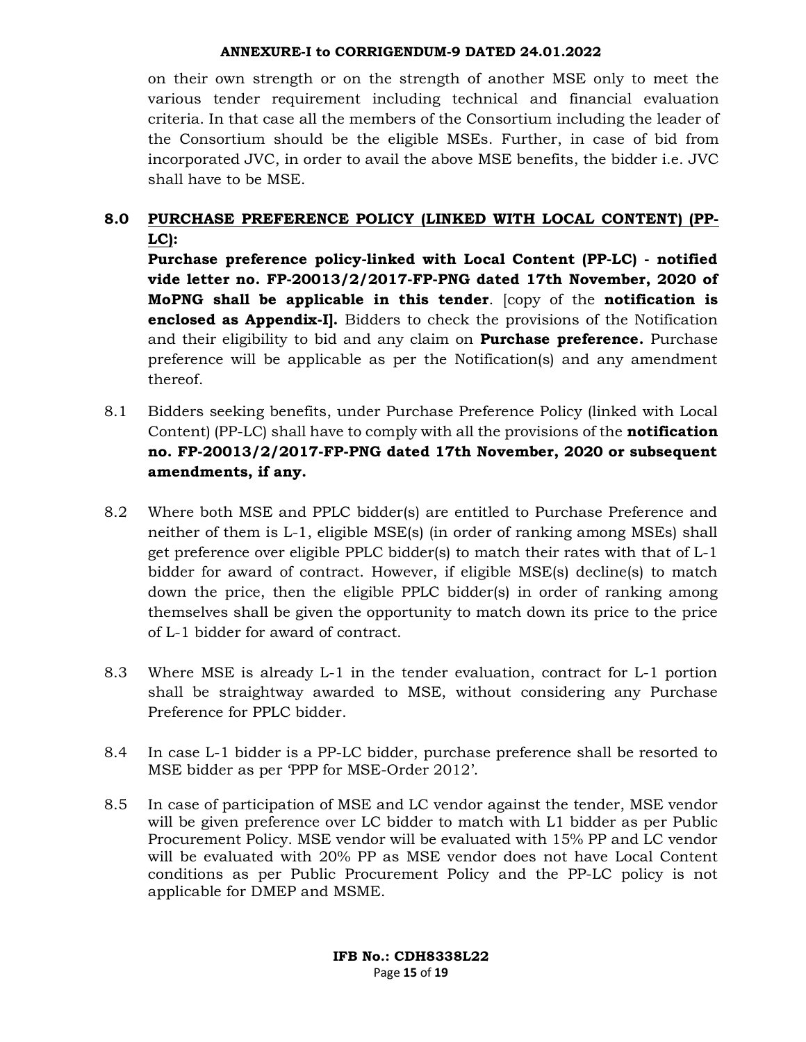on their own strength or on the strength of another MSE only to meet the various tender requirement including technical and financial evaluation criteria. In that case all the members of the Consortium including the leader of the Consortium should be the eligible MSEs. Further, in case of bid from incorporated JVC, in order to avail the above MSE benefits, the bidder i.e. JVC shall have to be MSE.

# 8.0 PURCHASE PREFERENCE POLICY (LINKED WITH LOCAL CONTENT) (PP-LC):

Purchase preference policy-linked with Local Content (PP-LC) - notified vide letter no. FP-20013/2/2017-FP-PNG dated 17th November, 2020 of MoPNG shall be applicable in this tender. [copy of the notification is enclosed as Appendix-I]. Bidders to check the provisions of the Notification and their eligibility to bid and any claim on **Purchase preference.** Purchase preference will be applicable as per the Notification(s) and any amendment thereof.

- 8.1 Bidders seeking benefits, under Purchase Preference Policy (linked with Local Content) (PP-LC) shall have to comply with all the provisions of the **notification** no. FP-20013/2/2017-FP-PNG dated 17th November, 2020 or subsequent amendments, if any.
- 8.2 Where both MSE and PPLC bidder(s) are entitled to Purchase Preference and neither of them is L-1, eligible MSE(s) (in order of ranking among MSEs) shall get preference over eligible PPLC bidder(s) to match their rates with that of L-1 bidder for award of contract. However, if eligible MSE(s) decline(s) to match down the price, then the eligible PPLC bidder(s) in order of ranking among themselves shall be given the opportunity to match down its price to the price of L-1 bidder for award of contract.
- 8.3 Where MSE is already L-1 in the tender evaluation, contract for L-1 portion shall be straightway awarded to MSE, without considering any Purchase Preference for PPLC bidder.
- 8.4 In case L-1 bidder is a PP-LC bidder, purchase preference shall be resorted to MSE bidder as per 'PPP for MSE-Order 2012'.
- 8.5 In case of participation of MSE and LC vendor against the tender, MSE vendor will be given preference over LC bidder to match with L1 bidder as per Public Procurement Policy. MSE vendor will be evaluated with 15% PP and LC vendor will be evaluated with 20% PP as MSE vendor does not have Local Content conditions as per Public Procurement Policy and the PP-LC policy is not applicable for DMEP and MSME.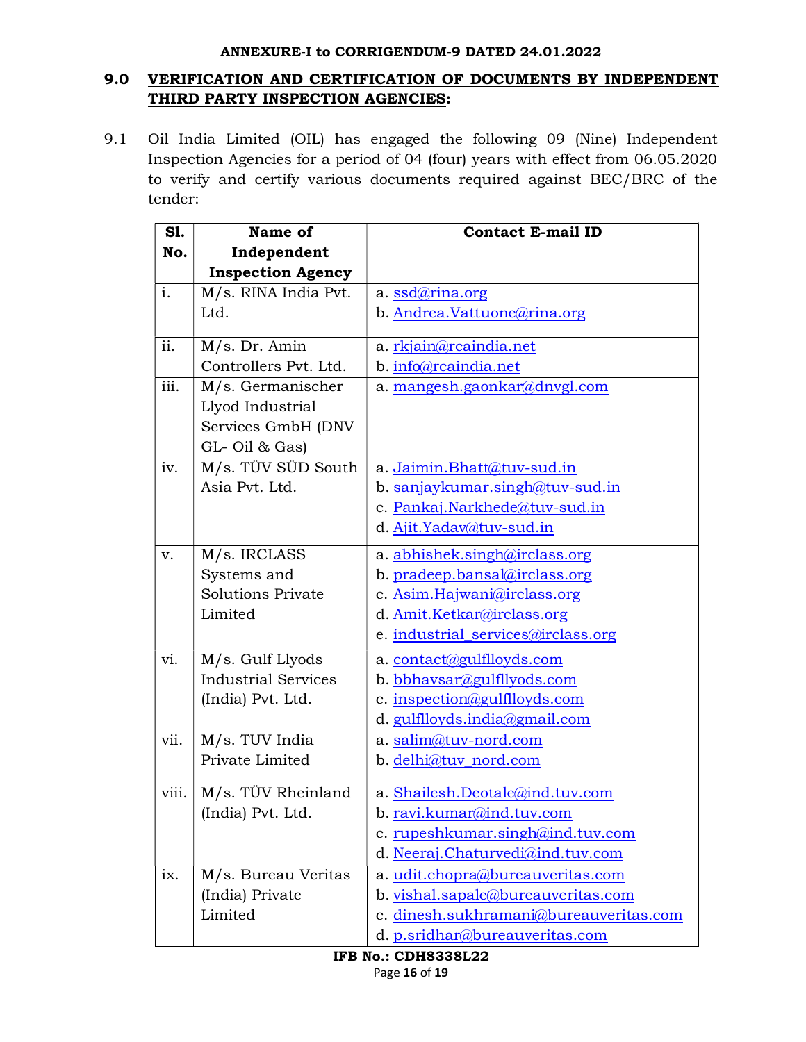# 9.0 VERIFICATION AND CERTIFICATION OF DOCUMENTS BY INDEPENDENT THIRD PARTY INSPECTION AGENCIES:

9.1 Oil India Limited (OIL) has engaged the following 09 (Nine) Independent Inspection Agencies for a period of 04 (four) years with effect from 06.05.2020 to verify and certify various documents required against BEC/BRC of the tender:

| S1.                       | Name of                    | <b>Contact E-mail ID</b>               |  |  |
|---------------------------|----------------------------|----------------------------------------|--|--|
| No.                       | Independent                |                                        |  |  |
|                           | <b>Inspection Agency</b>   |                                        |  |  |
| i.                        | M/s. RINA India Pvt.       | a. ssdarina.org                        |  |  |
|                           | Ltd.                       | b. Andrea.Vattuone@rina.org            |  |  |
|                           |                            |                                        |  |  |
| ii.                       | M/s. Dr. Amin              | a. rkjain@rcaindia.net                 |  |  |
|                           | Controllers Pvt. Ltd.      | b. info@rcaindia.net                   |  |  |
| iii.                      | M/s. Germanischer          | a. mangesh.gaonkar@dnvgl.com           |  |  |
|                           | Llyod Industrial           |                                        |  |  |
|                           | Services GmbH (DNV         |                                        |  |  |
|                           | GL-Oil & Gas)              |                                        |  |  |
| iv.                       | M/s. TÜV SÜD South         | a. Jaimin. Bhatt@tuv-sud.in            |  |  |
|                           | Asia Pvt. Ltd.             | b. sanjaykumar.singh@tuv-sud.in        |  |  |
|                           |                            | c. Pankaj.Narkhede@tuv-sud.in          |  |  |
|                           |                            | d. Ajit. Yadav@tuv-sud.in              |  |  |
| v.                        | M/s. IRCLASS               | a. abhishek.singh@irclass.org          |  |  |
|                           | Systems and                | b. pradeep.bansal@irclass.org          |  |  |
|                           | <b>Solutions Private</b>   | c. Asim.Hajwani@irclass.org            |  |  |
|                           | Limited                    | d. Amit.Ketkar@irclass.org             |  |  |
|                           |                            | e. industrial_services@irclass.org     |  |  |
| vi.                       | M/s. Gulf Llyods           | a. contact@gulflloyds.com              |  |  |
|                           | <b>Industrial Services</b> | b. bbhavsar@gulfllyods.com             |  |  |
|                           | (India) Pvt. Ltd.          | c. inspection@gulflloyds.com           |  |  |
|                           |                            | d. gulflloyds.india@gmail.com          |  |  |
| vii.                      | M/s. TUV India             | a. salim@tuv-nord.com                  |  |  |
|                           | Private Limited            | b. delhi@tuv_nord.com                  |  |  |
| viii.                     | M/s. TÜV Rheinland         | a. Shailesh.Deotale@ind.tuv.com        |  |  |
|                           | (India) Pvt. Ltd.          | b. ravi.kumar@ind.tuv.com              |  |  |
|                           |                            | c. rupeshkumar.singh@ind.tuv.com       |  |  |
|                           |                            | d. Neeraj.Chaturvedi@ind.tuv.com       |  |  |
| ix.                       | M/s. Bureau Veritas        | a. udit.chopra@bureauveritas.com       |  |  |
|                           | (India) Private            | b. vishal.sapale@bureauveritas.com     |  |  |
|                           | Limited                    | c. dinesh.sukhramani@bureauveritas.com |  |  |
|                           |                            | d. p.sridhar@bureauveritas.com         |  |  |
| <b>IED No. CDU0220120</b> |                            |                                        |  |  |

IFB No.: CDH8338L22 Page 16 of 19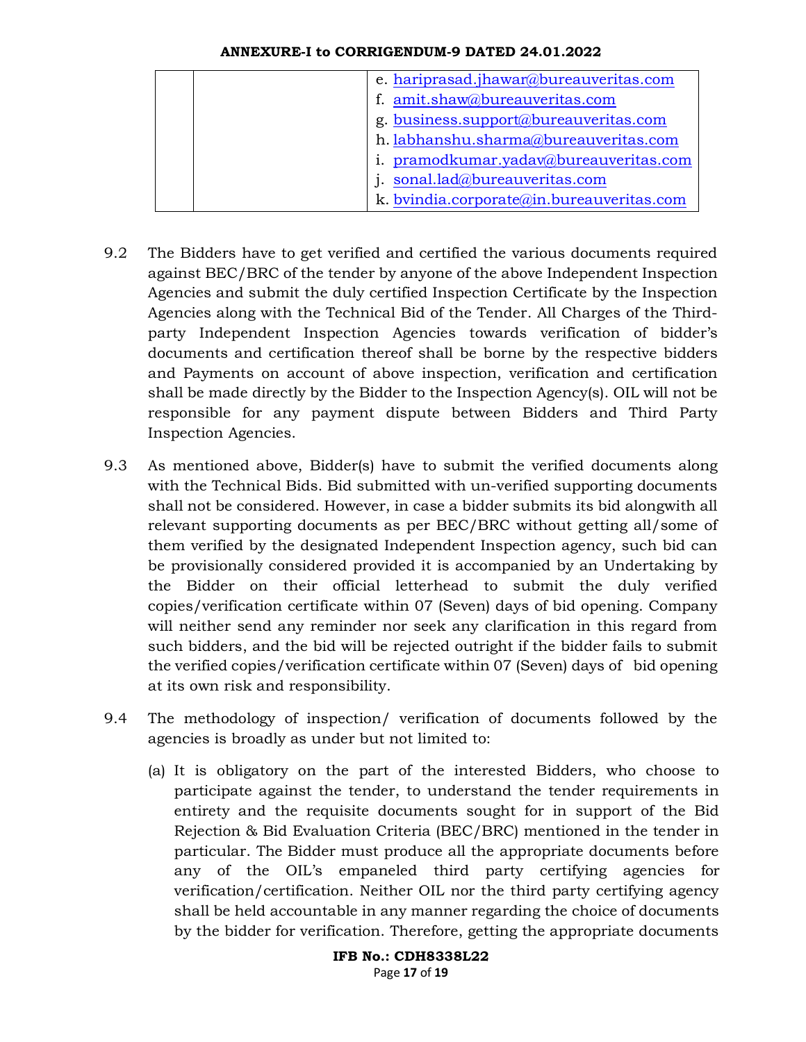| e. hariprasad.jhawar@bureauveritas.com    |
|-------------------------------------------|
| f. amit.shaw@bureauveritas.com            |
| g. business.support@bureauveritas.com     |
| h. labhanshu.sharma@bureauveritas.com     |
| i. pramodkumar.yadav@bureauveritas.com    |
| j. sonal.lad@bureauveritas.com            |
| k. bvindia.corporate@in.bureauveritas.com |

- 9.2 The Bidders have to get verified and certified the various documents required against BEC/BRC of the tender by anyone of the above Independent Inspection Agencies and submit the duly certified Inspection Certificate by the Inspection Agencies along with the Technical Bid of the Tender. All Charges of the Thirdparty Independent Inspection Agencies towards verification of bidder's documents and certification thereof shall be borne by the respective bidders and Payments on account of above inspection, verification and certification shall be made directly by the Bidder to the Inspection Agency(s). OIL will not be responsible for any payment dispute between Bidders and Third Party Inspection Agencies.
- 9.3 As mentioned above, Bidder(s) have to submit the verified documents along with the Technical Bids. Bid submitted with un-verified supporting documents shall not be considered. However, in case a bidder submits its bid alongwith all relevant supporting documents as per BEC/BRC without getting all/some of them verified by the designated Independent Inspection agency, such bid can be provisionally considered provided it is accompanied by an Undertaking by the Bidder on their official letterhead to submit the duly verified copies/verification certificate within 07 (Seven) days of bid opening. Company will neither send any reminder nor seek any clarification in this regard from such bidders, and the bid will be rejected outright if the bidder fails to submit the verified copies/verification certificate within 07 (Seven) days of bid opening at its own risk and responsibility.
- 9.4 The methodology of inspection/ verification of documents followed by the agencies is broadly as under but not limited to:
	- (a) It is obligatory on the part of the interested Bidders, who choose to participate against the tender, to understand the tender requirements in entirety and the requisite documents sought for in support of the Bid Rejection & Bid Evaluation Criteria (BEC/BRC) mentioned in the tender in particular. The Bidder must produce all the appropriate documents before any of the OIL's empaneled third party certifying agencies for verification/certification. Neither OIL nor the third party certifying agency shall be held accountable in any manner regarding the choice of documents by the bidder for verification. Therefore, getting the appropriate documents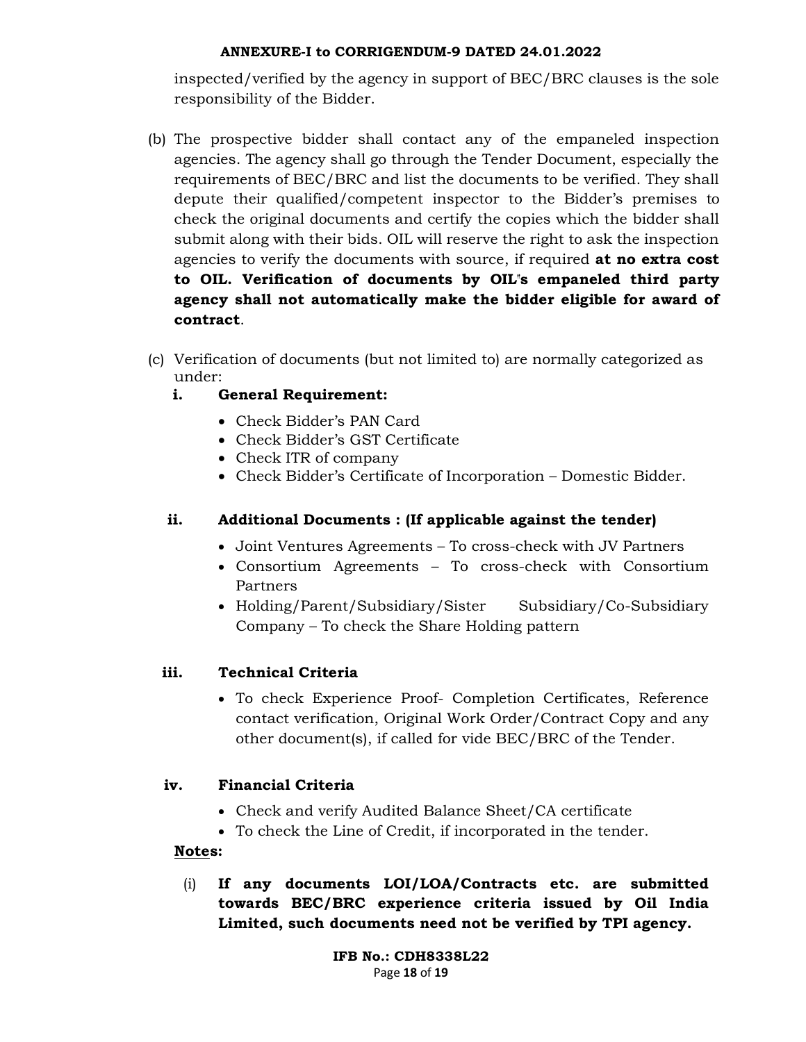inspected/verified by the agency in support of BEC/BRC clauses is the sole responsibility of the Bidder.

- (b) The prospective bidder shall contact any of the empaneled inspection agencies. The agency shall go through the Tender Document, especially the requirements of BEC/BRC and list the documents to be verified. They shall depute their qualified/competent inspector to the Bidder's premises to check the original documents and certify the copies which the bidder shall submit along with their bids. OIL will reserve the right to ask the inspection agencies to verify the documents with source, if required **at no extra cost** to OIL. Verification of documents by OIL"s empaneled third party agency shall not automatically make the bidder eligible for award of contract.
- (c) Verification of documents (but not limited to) are normally categorized as under:
	- i. General Requirement:
		- Check Bidder's PAN Card
		- Check Bidder's GST Certificate
		- Check ITR of company
		- Check Bidder's Certificate of Incorporation Domestic Bidder.

## ii. Additional Documents : (If applicable against the tender)

- Joint Ventures Agreements To cross-check with JV Partners
- Consortium Agreements To cross-check with Consortium Partners
- Holding/Parent/Subsidiary/Sister Subsidiary/Co-Subsidiary Company – To check the Share Holding pattern

## iii. Technical Criteria

 To check Experience Proof- Completion Certificates, Reference contact verification, Original Work Order/Contract Copy and any other document(s), if called for vide BEC/BRC of the Tender.

## iv. Financial Criteria

- Check and verify Audited Balance Sheet/CA certificate
- To check the Line of Credit, if incorporated in the tender.

### Notes:

(i) If any documents LOI/LOA/Contracts etc. are submitted towards BEC/BRC experience criteria issued by Oil India Limited, such documents need not be verified by TPI agency.